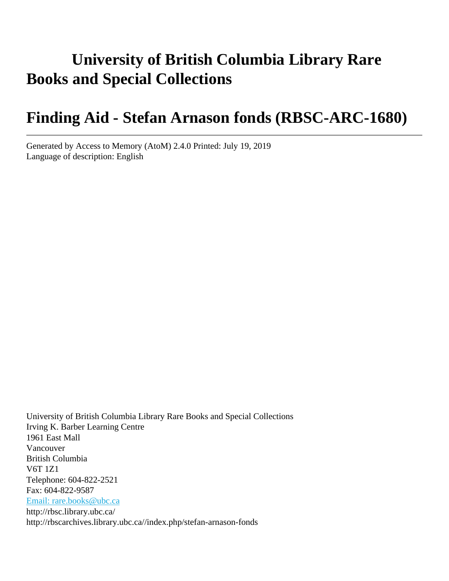# **University of British Columbia Library Rare Books and Special Collections**

# **Finding Aid - Stefan Arnason fonds (RBSC-ARC-1680)**

Generated by Access to Memory (AtoM) 2.4.0 Printed: July 19, 2019 Language of description: English

University of British Columbia Library Rare Books and Special Collections Irving K. Barber Learning Centre 1961 East Mall Vancouver British Columbia V6T 1Z1 Telephone: 604-822-2521 Fax: 604-822-9587 [Email: rare.books@ubc.ca](mailto:Email: rare.books@ubc.ca) http://rbsc.library.ubc.ca/ http://rbscarchives.library.ubc.ca//index.php/stefan-arnason-fonds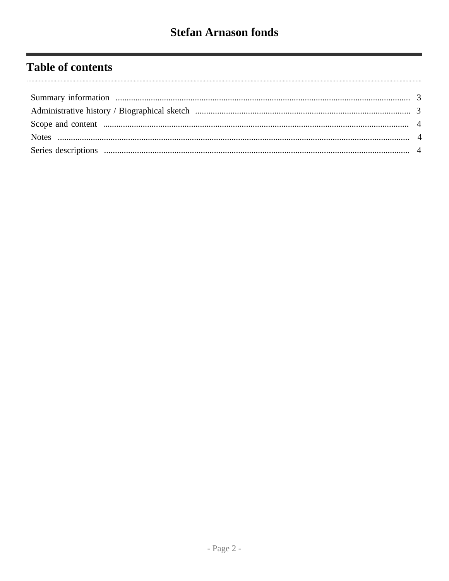## **Table of contents**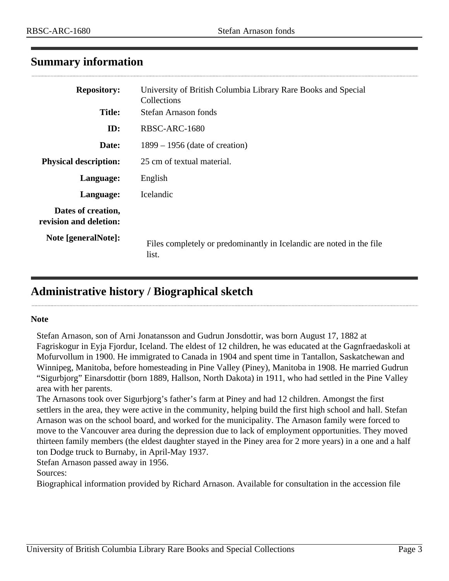## <span id="page-2-0"></span>**Summary information**

| <b>Repository:</b>                           | University of British Columbia Library Rare Books and Special<br>Collections  |  |  |  |
|----------------------------------------------|-------------------------------------------------------------------------------|--|--|--|
| <b>Title:</b>                                | Stefan Arnason fonds                                                          |  |  |  |
| ID:                                          | RBSC-ARC-1680                                                                 |  |  |  |
| Date:                                        | $1899 - 1956$ (date of creation)                                              |  |  |  |
| <b>Physical description:</b>                 | 25 cm of textual material.                                                    |  |  |  |
| Language:                                    | English                                                                       |  |  |  |
| Language:                                    | <i>Icelandic</i>                                                              |  |  |  |
| Dates of creation,<br>revision and deletion: |                                                                               |  |  |  |
| Note [generalNote]:                          | Files completely or predominantly in Icelandic are noted in the file<br>list. |  |  |  |

## <span id="page-2-1"></span>**Administrative history / Biographical sketch**

#### **Note**

Stefan Arnason, son of Arni Jonatansson and Gudrun Jonsdottir, was born August 17, 1882 at Fagriskogur in Eyja Fjordur, Iceland. The eldest of 12 children, he was educated at the Gagnfraedaskoli at Mofurvollum in 1900. He immigrated to Canada in 1904 and spent time in Tantallon, Saskatchewan and Winnipeg, Manitoba, before homesteading in Pine Valley (Piney), Manitoba in 1908. He married Gudrun "Sigurbjorg" Einarsdottir (born 1889, Hallson, North Dakota) in 1911, who had settled in the Pine Valley area with her parents.

The Arnasons took over Sigurbjorg's father's farm at Piney and had 12 children. Amongst the first settlers in the area, they were active in the community, helping build the first high school and hall. Stefan Arnason was on the school board, and worked for the municipality. The Arnason family were forced to move to the Vancouver area during the depression due to lack of employment opportunities. They moved thirteen family members (the eldest daughter stayed in the Piney area for 2 more years) in a one and a half ton Dodge truck to Burnaby, in April-May 1937.

Stefan Arnason passed away in 1956.

Sources:

Biographical information provided by Richard Arnason. Available for consultation in the accession file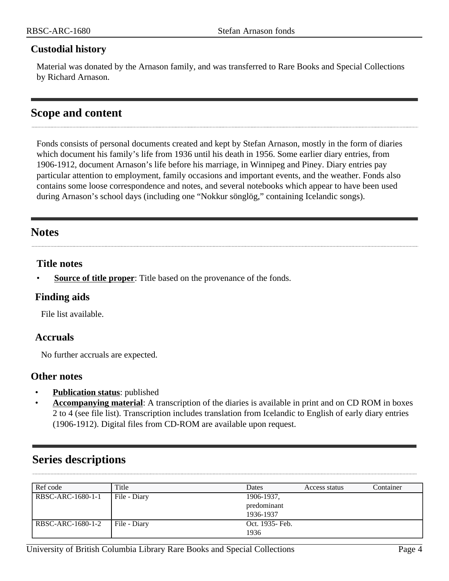#### **Custodial history**

Material was donated by the Arnason family, and was transferred to Rare Books and Special Collections by Richard Arnason.

## <span id="page-3-0"></span>**Scope and content**

Fonds consists of personal documents created and kept by Stefan Arnason, mostly in the form of diaries which document his family's life from 1936 until his death in 1956. Some earlier diary entries, from 1906-1912, document Arnason's life before his marriage, in Winnipeg and Piney. Diary entries pay particular attention to employment, family occasions and important events, and the weather. Fonds also contains some loose correspondence and notes, and several notebooks which appear to have been used during Arnason's school days (including one "Nokkur sönglög," containing Icelandic songs).

## <span id="page-3-1"></span>**Notes**

### **Title notes**

**Source of title proper**: Title based on the provenance of the fonds.

### **Finding aids**

File list available.

### **Accruals**

No further accruals are expected.

#### **Other notes**

- **Publication status**: published
- **Accompanying material**: A transcription of the diaries is available in print and on CD ROM in boxes 2 to 4 (see file list). Transcription includes translation from Icelandic to English of early diary entries (1906-1912). Digital files from CD-ROM are available upon request.

## <span id="page-3-2"></span>**Series descriptions**

| Ref code          | Title        | Dates            | Access status | Container |
|-------------------|--------------|------------------|---------------|-----------|
| RBSC-ARC-1680-1-1 | File - Diary | 1906-1937,       |               |           |
|                   |              | predominant      |               |           |
|                   |              | 1936-1937        |               |           |
| RBSC-ARC-1680-1-2 | File - Diary | Oct. 1935 - Feb. |               |           |
|                   |              | 1936             |               |           |